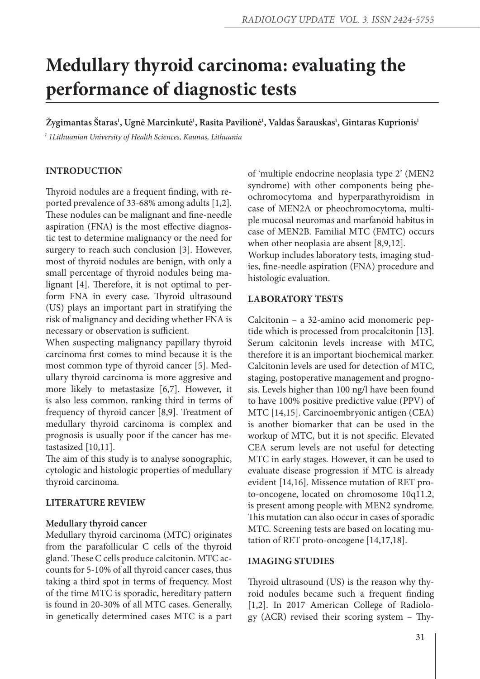# **Medullary thyroid carcinoma: evaluating the performance of diagnostic tests**

 $\check{\text{Z}}$ ygimantas Štaras<sup>ı</sup>, Ugnė Marcinkutė<sup>1</sup>, Rasita Pavilionė<sup>1</sup>, Valdas Šarauskas<sup>ı</sup>, Gintaras Kuprionis<sup>1</sup> *¹ 1Lithuanian University of Health Sciences, Kaunas, Lithuania*

# **INTRODUCTION**

Thyroid nodules are a frequent finding, with reported prevalence of 33-68% among adults [1,2]. These nodules can be malignant and fine-needle aspiration (FNA) is the most effective diagnostic test to determine malignancy or the need for surgery to reach such conclusion [3]. However, most of thyroid nodules are benign, with only a small percentage of thyroid nodules being malignant [4]. Therefore, it is not optimal to perform FNA in every case. Thyroid ultrasound (US) plays an important part in stratifying the risk of malignancy and deciding whether FNA is necessary or observation is sufficient.

When suspecting malignancy papillary thyroid carcinoma first comes to mind because it is the most common type of thyroid cancer [5]. Medullary thyroid carcinoma is more aggresive and more likely to metastasize [6,7]. However, it is also less common, ranking third in terms of frequency of thyroid cancer [8,9]. Treatment of medullary thyroid carcinoma is complex and prognosis is usually poor if the cancer has metastasized [10,11].

The aim of this study is to analyse sonographic, cytologic and histologic properties of medullary thyroid carcinoma.

#### **LITERATURE REVIEW**

#### **Medullary thyroid cancer**

Medullary thyroid carcinoma (MTC) originates from the parafollicular C cells of the thyroid gland. These C cells produce calcitonin. MTC accounts for 5-10% of all thyroid cancer cases, thus taking a third spot in terms of frequency. Most of the time MTC is sporadic, hereditary pattern is found in 20-30% of all MTC cases. Generally, in genetically determined cases MTC is a part of 'multiple endocrine neoplasia type 2' (MEN2 syndrome) with other components being pheochromocytoma and hyperparathyroidism in case of MEN2A or pheochromocytoma, multiple mucosal neuromas and marfanoid habitus in case of MEN2B. Familial MTC (FMTC) occurs when other neoplasia are absent [8,9,12]. Workup includes laboratory tests, imaging stud-

ies, fine-needle aspiration (FNA) procedure and histologic evaluation.

# **Laboratory tests**

Calcitonin – a 32-amino acid monomeric peptide which is processed from procalcitonin [13]. Serum calcitonin levels increase with MTC, therefore it is an important biochemical marker. Calcitonin levels are used for detection of MTC, staging, postoperative management and prognosis. Levels higher than 100 ng/l have been found to have 100% positive predictive value (PPV) of MTC [14,15]. Carcinoembryonic antigen (CEA) is another biomarker that can be used in the workup of MTC, but it is not specific. Elevated CEA serum levels are not useful for detecting MTC in early stages. However, it can be used to evaluate disease progression if MTC is already evident [14,16]. Missence mutation of RET proto-oncogene, located on chromosome 10q11.2, is present among people with MEN2 syndrome. This mutation can also occur in cases of sporadic MTC. Screening tests are based on locating mutation of RET proto-oncogene [14,17,18].

#### **Imaging studies**

Thyroid ultrasound (US) is the reason why thyroid nodules became such a frequent finding [1,2]. In 2017 American College of Radiology (ACR) revised their scoring system – Thy-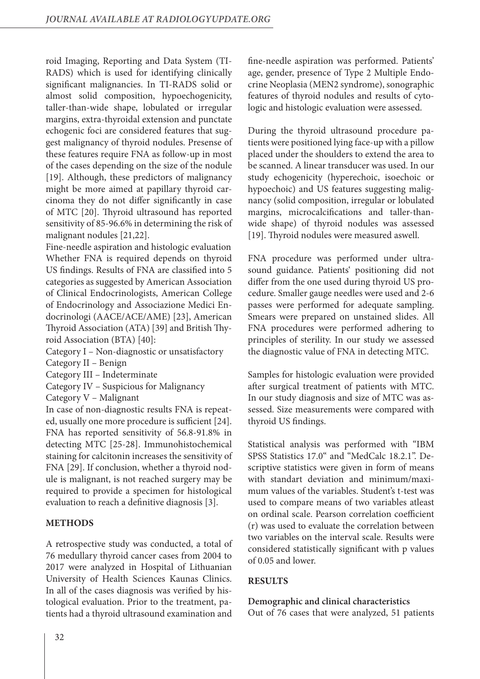roid Imaging, Reporting and Data System (TI-RADS) which is used for identifying clinically significant malignancies. In TI-RADS solid or almost solid composition, hypoechogenicity, taller-than-wide shape, lobulated or irregular margins, extra-thyroidal extension and punctate echogenic foci are considered features that suggest malignancy of thyroid nodules. Presense of these features require FNA as follow-up in most of the cases depending on the size of the nodule [19]. Although, these predictors of malignancy might be more aimed at papillary thyroid carcinoma they do not differ significantly in case of MTC [20]. Thyroid ultrasound has reported sensitivity of 85-96.6% in determining the risk of malignant nodules [21,22].

Fine-needle aspiration and histologic evaluation Whether FNA is required depends on thyroid US findings. Results of FNA are classified into 5 categories as suggested by American Association of Clinical Endocrinologists, American College of Endocrinology and Associazione Medici Endocrinologi (AACE/ACE/AME) [23], American Thyroid Association (ATA) [39] and British Thyroid Association (BTA) [40]:

Category I – Non-diagnostic or unsatisfactory

Category II – Benign

Category III – Indeterminate

Category IV – Suspicious for Malignancy

Category V – Malignant

In case of non-diagnostic results FNA is repeated, usually one more procedure is sufficient [24]. FNA has reported sensitivity of 56.8-91.8% in detecting MTC [25-28]. Immunohistochemical staining for calcitonin increases the sensitivity of FNA [29]. If conclusion, whether a thyroid nodule is malignant, is not reached surgery may be required to provide a specimen for histological evaluation to reach a definitive diagnosis [3].

# **METHODS**

A retrospective study was conducted, a total of 76 medullary thyroid cancer cases from 2004 to 2017 were analyzed in Hospital of Lithuanian University of Health Sciences Kaunas Clinics. In all of the cases diagnosis was verified by histological evaluation. Prior to the treatment, patients had a thyroid ultrasound examination and

fine-needle aspiration was performed. Patients' age, gender, presence of Type 2 Multiple Endocrine Neoplasia (MEN2 syndrome), sonographic features of thyroid nodules and results of cytologic and histologic evaluation were assessed.

During the thyroid ultrasound procedure patients were positioned lying face-up with a pillow placed under the shoulders to extend the area to be scanned. A linear transducer was used. In our study echogenicity (hyperechoic, isoechoic or hypoechoic) and US features suggesting malignancy (solid composition, irregular or lobulated margins, microcalcifications and taller-thanwide shape) of thyroid nodules was assessed [19]. Thyroid nodules were measured aswell.

FNA procedure was performed under ultrasound guidance. Patients' positioning did not differ from the one used during thyroid US procedure. Smaller gauge needles were used and 2-6 passes were performed for adequate sampling. Smears were prepared on unstained slides. All FNA procedures were performed adhering to principles of sterility. In our study we assessed the diagnostic value of FNA in detecting MTC.

Samples for histologic evaluation were provided after surgical treatment of patients with MTC. In our study diagnosis and size of MTC was assessed. Size measurements were compared with thyroid US findings.

Statistical analysis was performed with "IBM SPSS Statistics 17.0" and "MedCalc 18.2.1". Descriptive statistics were given in form of means with standart deviation and minimum/maximum values of the variables. Student's t-test was used to compare means of two variables atleast on ordinal scale. Pearson correlation coefficient (r) was used to evaluate the correlation between two variables on the interval scale. Results were considered statistically significant with p values of 0.05 and lower.

# **RESULTS**

# **Demographic and clinical characteristics**

Out of 76 cases that were analyzed, 51 patients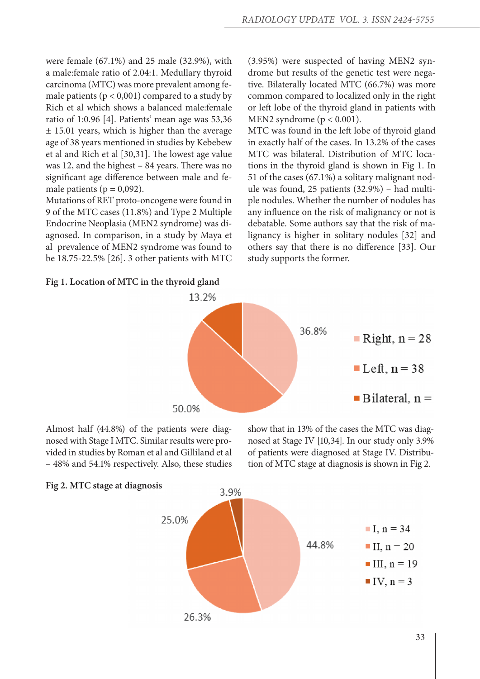were female (67.1%) and 25 male (32.9%), with a male:female ratio of 2.04:1. Medullary thyroid carcinoma (MTC) was more prevalent among female patients ( $p < 0.001$ ) compared to a study by Rich et al which shows a balanced male:female ratio of 1:0.96 [4]. Patients' mean age was 53,36 ± 15.01 years, which is higher than the average age of 38 years mentioned in studies by Kebebew et al and Rich et al [30,31]. The lowest age value was 12, and the highest – 84 years. There was no significant age difference between male and female patients ( $p = 0.092$ ).

Mutations of RET proto-oncogene were found in 9 of the MTC cases (11.8%) and Type 2 Multiple Endocrine Neoplasia (MEN2 syndrome) was diagnosed. In comparison, in a study by Maya et al prevalence of MEN2 syndrome was found to be 18.75-22.5% [26]. 3 other patients with MTC

# **Fig 1. Location of MTC in the thyroid gland**

(3.95%) were suspected of having MEN2 syndrome but results of the genetic test were negative. Bilaterally located MTC (66.7%) was more common compared to localized only in the right or left lobe of the thyroid gland in patients with MEN2 syndrome ( $p < 0.001$ ).

MTC was found in the left lobe of thyroid gland in exactly half of the cases. In 13.2% of the cases MTC was bilateral. Distribution of MTC locations in the thyroid gland is shown in Fig 1. In 51 of the cases (67.1%) a solitary malignant nodule was found, 25 patients (32.9%) – had multiple nodules. Whether the number of nodules has any influence on the risk of malignancy or not is debatable. Some authors say that the risk of malignancy is higher in solitary nodules [32] and others say that there is no difference [33]. Our study supports the former.



Almost half (44.8%) of the patients were diagnosed with Stage I MTC. Similar results were provided in studies by Roman et al and Gilliland et al – 48% and 54.1% respectively. Also, these studies

show that in 13% of the cases the MTC was diagnosed at Stage IV [10,34]. In our study only 3.9% of patients were diagnosed at Stage IV. Distribution of MTC stage at diagnosis is shown in Fig 2.



# **Fig 2. MTC stage at diagnosis**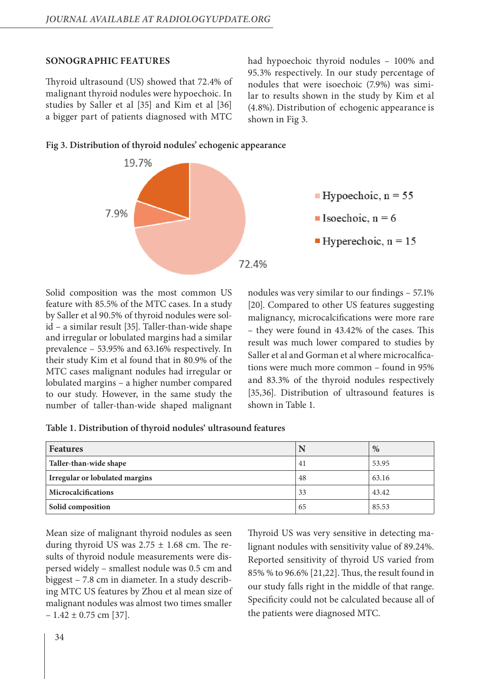#### **Sonographic features**

Thyroid ultrasound (US) showed that 72.4% of malignant thyroid nodules were hypoechoic. In studies by Saller et al [35] and Kim et al [36] a bigger part of patients diagnosed with MTC

had hypoechoic thyroid nodules – 100% and 95.3% respectively. In our study percentage of nodules that were isoechoic (7.9%) was similar to results shown in the study by Kim et al (4.8%). Distribution of echogenic appearance is shown in Fig 3.





Solid composition was the most common US feature with 85.5% of the MTC cases. In a study by Saller et al 90.5% of thyroid nodules were solid – a similar result [35]. Taller-than-wide shape and irregular or lobulated margins had a similar prevalence – 53.95% and 63.16% respectively. In their study Kim et al found that in 80.9% of the MTC cases malignant nodules had irregular or lobulated margins – a higher number compared to our study. However, in the same study the number of taller-than-wide shaped malignant nodules was very similar to our findings – 57.1% [20]. Compared to other US features suggesting malignancy, microcalcifications were more rare – they were found in 43.42% of the cases. This result was much lower compared to studies by Saller et al and Gorman et al where microcalfications were much more common – found in 95% and 83.3% of the thyroid nodules respectively [35,36]. Distribution of ultrasound features is shown in Table 1.

| Table 1. Distribution of thyroid nodules' ultrasound features |  |
|---------------------------------------------------------------|--|
|---------------------------------------------------------------|--|

| <b>Features</b>                       |    | $\%$  |
|---------------------------------------|----|-------|
| Taller-than-wide shape                | 41 | 53.95 |
| <b>Irregular or lobulated margins</b> | 48 | 63.16 |
| Microcalcifications                   | 33 | 43.42 |
| Solid composition                     | 65 | 85.53 |

Mean size of malignant thyroid nodules as seen during thyroid US was  $2.75 \pm 1.68$  cm. The results of thyroid nodule measurements were dispersed widely – smallest nodule was 0.5 cm and biggest – 7.8 cm in diameter. In a study describing MTC US features by Zhou et al mean size of malignant nodules was almost two times smaller  $-1.42 \pm 0.75$  cm [37].

Thyroid US was very sensitive in detecting malignant nodules with sensitivity value of 89.24%. Reported sensitivity of thyroid US varied from 85% % to 96.6% [21,22]. Thus, the result found in our study falls right in the middle of that range. Specificity could not be calculated because all of the patients were diagnosed MTC.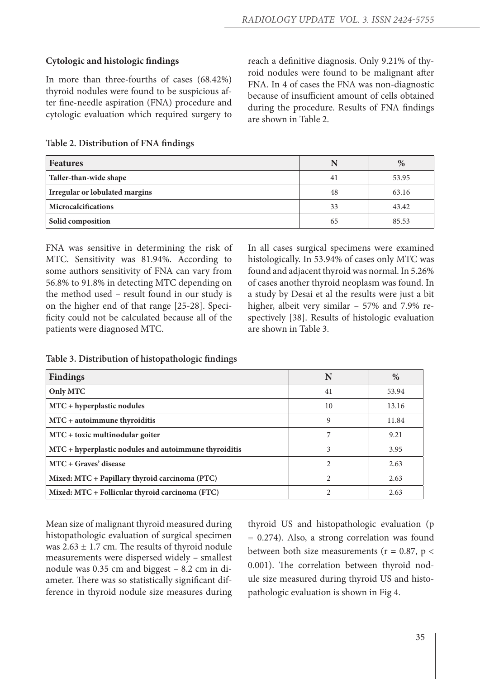#### **Cytologic and histologic findings**

In more than three-fourths of cases (68.42%) thyroid nodules were found to be suspicious after fine-needle aspiration (FNA) procedure and cytologic evaluation which required surgery to reach a definitive diagnosis. Only 9.21% of thyroid nodules were found to be malignant after FNA. In 4 of cases the FNA was non-diagnostic because of insufficient amount of cells obtained during the procedure. Results of FNA findings are shown in Table 2.

| Table 2. Distribution of FNA findings |  |  |
|---------------------------------------|--|--|
|---------------------------------------|--|--|

| Features                              | N  | %     |
|---------------------------------------|----|-------|
| Taller-than-wide shape                | 41 | 53.95 |
| <b>Irregular or lobulated margins</b> | 48 | 63.16 |
| Microcalcifications                   | 33 | 43.42 |
| Solid composition                     | 65 | 85.53 |

FNA was sensitive in determining the risk of MTC. Sensitivity was 81.94%. According to some authors sensitivity of FNA can vary from 56.8% to 91.8% in detecting MTC depending on the method used – result found in our study is on the higher end of that range [25-28]. Specificity could not be calculated because all of the patients were diagnosed MTC.

In all cases surgical specimens were examined histologically. In 53.94% of cases only MTC was found and adjacent thyroid was normal. In 5.26% of cases another thyroid neoplasm was found. In a study by Desai et al the results were just a bit higher, albeit very similar – 57% and 7.9% respectively [38]. Results of histologic evaluation are shown in Table 3.

| <b>Findings</b>                                       | N  | $\%$  |
|-------------------------------------------------------|----|-------|
| Only MTC                                              | 41 | 53.94 |
| MTC + hyperplastic nodules                            | 10 | 13.16 |
| MTC + autoimmune thyroiditis                          | 9  | 11.84 |
| MTC + toxic multinodular goiter                       | 7  | 9.21  |
| MTC + hyperplastic nodules and autoimmune thyroiditis | 3  | 3.95  |
| MTC + Graves' disease                                 | 2  | 2.63  |
| Mixed: MTC + Papillary thyroid carcinoma (PTC)        | 2  | 2.63  |
| Mixed: MTC + Follicular thyroid carcinoma (FTC)       |    | 2.63  |

**Table 3. Distribution of histopathologic findings**

Mean size of malignant thyroid measured during histopathologic evaluation of surgical specimen was  $2.63 \pm 1.7$  cm. The results of thyroid nodule measurements were dispersed widely – smallest nodule was 0.35 cm and biggest – 8.2 cm in diameter. There was so statistically significant difference in thyroid nodule size measures during thyroid US and histopathologic evaluation (p = 0.274). Also, a strong correlation was found between both size measurements ( $r = 0.87$ ,  $p <$ 0.001). The correlation between thyroid nodule size measured during thyroid US and histopathologic evaluation is shown in Fig 4.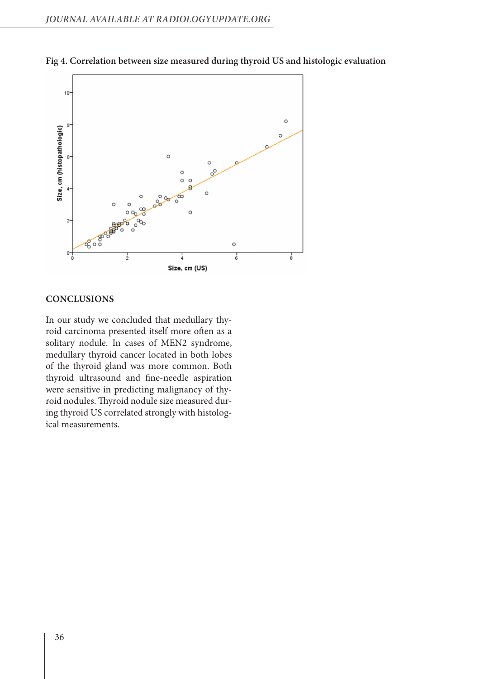

**Fig 4. Correlation between size measured during thyroid US and histologic evaluation**

#### **CONCLUSIONS**

In our study we concluded that medullary thyroid carcinoma presented itself more often as a solitary nodule. In cases of MEN2 syndrome, medullary thyroid cancer located in both lobes of the thyroid gland was more common. Both thyroid ultrasound and fine-needle aspiration were sensitive in predicting malignancy of thyroid nodules. Thyroid nodule size measured during thyroid US correlated strongly with histological measurements.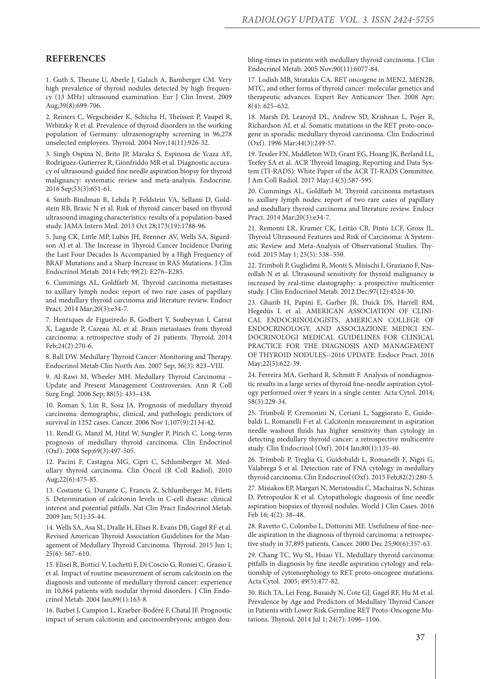#### **REFERENCES**

1. Guth S, Theune U, Aberle J, Galach A, Bamberger CM. Very high prevalence of thyroid nodules detected by high frequency (13 MHz) ultrasound examination. Eur J Clin Invest. 2009 Aug;39(8):699-706.

2. Reiners C, Wegscheider K, Schicha H, Theissen P, Vaupel R, Wrbitzky R et al. Prevalence of thyroid disorders in the working population of Germany: ultrasonography screening in 96,278 unselected employees. Thyroid. 2004 Nov;14(11):926-32.

3. Singh Ospina N, Brito JP, Maraka S, Espinosa de Ycaza AE, Rodriguez-Gutierrez R, Gionfriddo MR et al. Diagnostic accuracy of ultrasound-guided fine needle aspiration biopsy for thyroid malignancy: systematic review and meta-analysis. Endocrine. 2016 Sep;53(3):651-61.

4. Smith-Bindman R, Lebda P, Feldstein VA, Sellami D, Goldstein RB, Brasic N et al. Risk of thyroid cancer based on thyroid ultrasound imaging characteristics: results of a population-based study. JAMA Intern Med. 2013 Oct 28;173(19):1788-96.

5. Jung CK, Little MP, Lubin JH, Brenner AV, Wells SA, Sigurdson AJ et al. The Increase in Thyroid Cancer Incidence During the Last Four Decades Is Accompanied by a High Frequency of BRAF Mutations and a Sharp Increase in RAS Mutations. J Clin Endocrinol Metab. 2014 Feb; 99(2): E276–E285.

6. Cummings AL, Goldfarb M. Thyroid carcinoma metastases to axillary lymph nodes: report of two rare cases of papillary and medullary thyroid carcinoma and literature review. Endocr Pract. 2014 Mar;20(3):e34-7.

7. Henriques de Figueiredo B, Godbert Y, Soubeyran I, Carrat X, Lagarde P, Cazeau AL et al. Brain metastases from thyroid carcinoma: a retrospective study of 21 patients. Thyroid. 2014 Feb;24(2):270-6.

8. Ball DW. Medullary Thyroid Cancer: Monitoring and Therapy. Endocrinol Metab Clin North Am. 2007 Sep; 36(3): 823–VIII.

9. Al-Rawi M, Wheeler MH. Medullary Thyroid Carcinoma – Update and Present Management Controversies. Ann R Coll Surg Engl. 2006 Sep; 88(5): 433–438.

10. Roman S, Lin R, Sosa JA. Prognosis of medullary thyroid carcinoma: demographic, clinical, and pathologic predictors of survival in 1252 cases. Cancer. 2006 Nov 1;107(9):2134-42.

11. Rendl G, Manzl M, Hitzl W, Sungler P, Pirich C. Long-term prognosis of medullary thyroid carcinoma. Clin Endocrinol (Oxf). 2008 Sep;69(3):497-505.

12. Pacini F, Castagna MG, Cipri C, Schlumberger M. Medullary thyroid carcinoma. Clin Oncol (R Coll Radiol). 2010 Aug;22(6):475-85.

13. Costante G, Durante C, Francis Z, Schlumberger M, Filetti S. Determination of calcitonin levels in C-cell disease: clinical interest and potential pitfalls. Nat Clin Pract Endocrinol Metab. 2009 Jan; 5(1):35-44.

14. Wells SA, Asa SL, Dralle H, Elisei R, Evans DB, Gagel RF et al. Revised American Thyroid Association Guidelines for the Management of Medullary Thyroid Carcinoma. Thyroid. 2015 Jun 1; 25(6): 567–610.

15. Elisei R, Bottici V, Luchetti F, Di Coscio G, Romei C, Grasso L et al. Impact of routine measurement of serum calcitonin on the diagnosis and outcome of medullary thyroid cancer: experience in 10,864 patients with nodular thyroid disorders. J Clin Endocrinol Metab. 2004 Jan;89(1):163-8.

16. Barbet J, Campion L, Kraeber-Bodéré F, Chatal JF. Prognostic impact of serum calcitonin and carcinoembryonic antigen doubling-times in patients with medullary thyroid carcinoma. J Clin Endocrinol Metab. 2005 Nov;90(11):6077-84.

17. Lodish MB, Stratakis CA. RET oncogene in MEN2, MEN2B, MTC, and other forms of thyroid cancer: molecular genetics and therapeutic advances. Expert Rev Anticancer Ther. 2008 Apr; 8(4): 625–632.

18. Marsh DJ, Learoyd DL, Andrew SD, Krishnan L, Pojer R, Richardson AL et al. Somatic mutations in the RET proto-oncogene in sporadic medullary thyroid carcinoma. Clin Endocrinol (Oxf). 1996 Mar;44(3):249-57.

19. Tessler FN, Middleton WD, Grant EG, Hoang JK, Berland LL, Teefey SA et al. ACR Thyroid Imaging, Reporting and Data System (TI-RADS): White Paper of the ACR TI-RADS Committee. J Am Coll Radiol. 2017 May;14(5):587-595.

20. Cummings AL, Goldfarb M. Thyroid carcinoma metastases to axillary lymph nodes: report of two rare cases of papillary and medullary thyroid carcinoma and literature review. Endocr Pract. 2014 Mar;20(3):e34-7.

21. Remonti LR, Kramer CK, Leitão CB, Pinto LCF, Gross JL. Thyroid Ultrasound Features and Risk of Carcinoma: A Systematic Review and Meta-Analysis of Observational Studies. Thyroid. 2015 May 1; 25(5): 538–550.

22. Trimboli P, Guglielmi R, Monti S, Misischi I, Graziano F, Nasrollah N et al. Ultrasound sensitivity for thyroid malignancy is increased by real-time elastography: a prospective multicenter study. J Clin Endocrinol Metab. 2012 Dec;97(12):4524-30.

23. Gharib H, Papini E, Garber JR, Duick DS, Harrell RM, Hegedüs L et al. AMERICAN ASSOCIATION OF CLINI-CAL ENDOCRINOLOGISTS, AMERICAN COLLEGE OF ENDOCRINOLOGY, AND ASSOCIAZIONE MEDICI EN-DOCRINOLOGI MEDICAL GUIDELINES FOR CLINICAL PRACTICE FOR THE DIAGNOSIS AND MANAGEMENT OF THYROID NODULES--2016 UPDATE. Endocr Pract. 2016 May;22(5):622-39.

24. Ferreira MA, Gerhard R, Schmitt F. Analysis of nondiagnostic results in a large series of thyroid fine-needle aspiration cytology performed over 9 years in a single center. Acta Cytol. 2014; 58(3):229-34.

25. Trimboli P, Cremonini N, Ceriani L, Saggiorato E, Guidobaldi L, Romanelli F et al. Calcitonin measurement in aspiration needle washout fluids has higher sensitivity than cytology in detecting medullary thyroid cancer: a retrospective multicentre study. Clin Endocrinol (Oxf). 2014 Jan;80(1):135-40.

26. Trimboli P, Treglia G, Guidobaldi L, Romanelli F, Nigri G, Valabrega S et al. Detection rate of FNA cytology in medullary thyroid carcinoma. Clin Endocrinol (Oxf). 2015 Feb;82(2):280-5.

27. Misiakos EP, Margari N, Meristoudis C, Machairas N, Schizas D, Petropoulos K et al. Cytopathologic diagnosis of fine needle aspiration biopsies of thyroid nodules. World J Clin Cases. 2016 Feb 16; 4(2): 38–48.

28. Ravetto C, Colombo L, Dottorini ME. Usefulness of fine-needle aspiration in the diagnosis of thyroid carcinoma: a retrospective study in 37,895 patients. Cancer. 2000 Dec 25;90(6):357-63.

29. Chang TC, Wu SL, Hsiao YL. Medullary thyroid carcinoma: pitfalls in diagnosis by fine needle aspiration cytology and relationship of cytomorphology to RET proto-oncogene mutations. Acta Cytol. 2005; 49(5):477-82.

30. Rich TA, Lei Feng, Busaidy N, Cote GJ, Gagel RF, Hu M et al. Prevalence by Age and Predictors of Medullary Thyroid Cancer in Patients with Lower Risk Germline RET Proto-Oncogene Mutations. Thyroid. 2014 Jul 1; 24(7): 1096–1106.